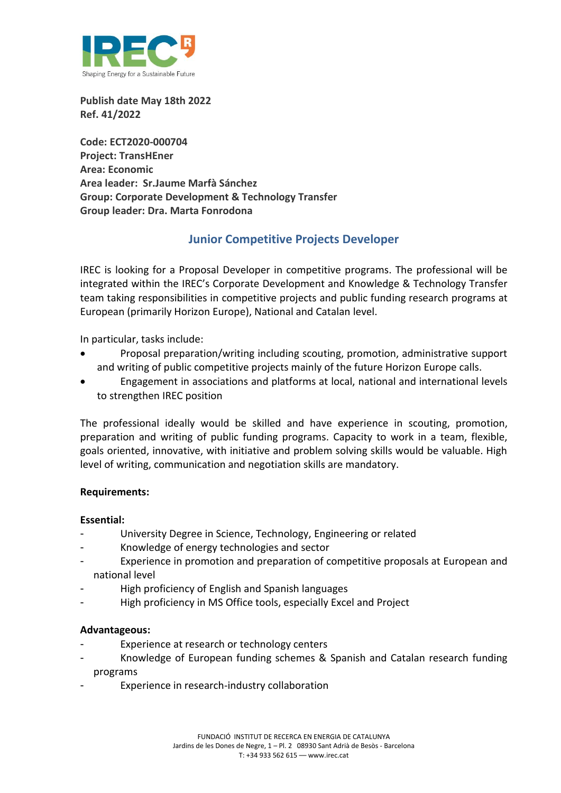

**Publish date May 18th 2022 Ref. 41/2022**

**Code: ECT2020-000704 Project: TransHEner Area: Economic Area leader: Sr.Jaume Marfà Sánchez Group: Corporate Development & Technology Transfer Group leader: Dra. Marta Fonrodona**

# **Junior Competitive Projects Developer**

IREC is looking for a Proposal Developer in competitive programs. The professional will be integrated within the IREC's Corporate Development and Knowledge & Technology Transfer team taking responsibilities in competitive projects and public funding research programs at European (primarily Horizon Europe), National and Catalan level.

In particular, tasks include:

- Proposal preparation/writing including scouting, promotion, administrative support and writing of public competitive projects mainly of the future Horizon Europe calls.
- Engagement in associations and platforms at local, national and international levels to strengthen IREC position

The professional ideally would be skilled and have experience in scouting, promotion, preparation and writing of public funding programs. Capacity to work in a team, flexible, goals oriented, innovative, with initiative and problem solving skills would be valuable. High level of writing, communication and negotiation skills are mandatory.

## **Requirements:**

#### **Essential:**

- University Degree in Science, Technology, Engineering or related
- Knowledge of energy technologies and sector
- Experience in promotion and preparation of competitive proposals at European and national level
- High proficiency of English and Spanish languages
- High proficiency in MS Office tools, especially Excel and Project

#### **Advantageous:**

- Experience at research or technology centers
- Knowledge of European funding schemes & Spanish and Catalan research funding programs
- Experience in research-industry collaboration